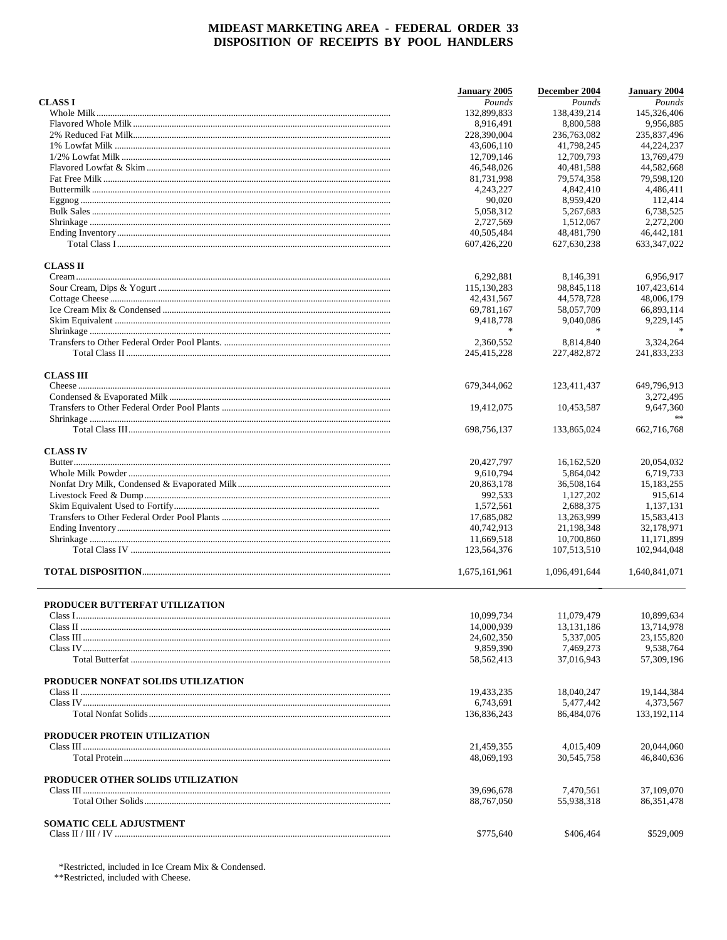|                                    | January 2005  | December 2004 | <b>January 2004</b> |
|------------------------------------|---------------|---------------|---------------------|
| <b>CLASS I</b>                     | Pounds        | Pounds        | Pounds              |
|                                    | 132,899,833   | 138,439,214   | 145,326,406         |
|                                    | 8,916,491     | 8,800,588     | 9,956,885           |
|                                    | 228,390,004   | 236,763,082   | 235,837,496         |
|                                    | 43,606,110    | 41.798.245    | 44.224.237          |
|                                    | 12,709,146    | 12,709,793    | 13,769,479          |
|                                    | 46,548,026    | 40,481,588    | 44,582,668          |
|                                    | 81,731,998    | 79,574,358    | 79,598,120          |
|                                    | 4,243,227     | 4,842,410     | 4,486,411           |
|                                    | 90,020        | 8,959,420     | 112,414             |
|                                    | 5,058,312     | 5.267.683     | 6,738,525           |
|                                    | 2,727,569     | 1,512,067     | 2,272,200           |
|                                    | 40,505,484    | 48,481,790    | 46,442,181          |
|                                    | 607,426,220   | 627,630,238   | 633, 347, 022       |
| <b>CLASS II</b>                    |               |               |                     |
|                                    | 6,292,881     | 8,146,391     | 6,956,917           |
|                                    | 115,130,283   | 98,845,118    | 107,423,614         |
|                                    | 42, 431, 567  | 44,578,728    | 48,006,179          |
|                                    | 69,781,167    | 58,057,709    | 66,893,114          |
|                                    | 9,418,778     | 9,040,086     | 9,229,145           |
|                                    | 宋             |               |                     |
|                                    | 2,360,552     | 8.814.840     | 3,324,264           |
|                                    | 245,415,228   | 227,482,872   | 241,833,233         |
| <b>CLASS III</b>                   |               |               |                     |
|                                    | 679,344,062   | 123,411,437   | 649,796,913         |
|                                    |               |               | 3.272.495           |
|                                    | 19,412,075    | 10,453,587    | 9,647,360           |
|                                    | 698,756,137   | 133,865,024   | $**$<br>662,716,768 |
|                                    |               |               |                     |
| <b>CLASS IV</b>                    |               |               |                     |
|                                    | 20,427,797    | 16, 162, 520  | 20,054,032          |
|                                    | 9,610,794     | 5,864,042     | 6,719,733           |
|                                    | 20,863,178    | 36,508,164    | 15,183,255          |
|                                    | 992,533       | 1,127,202     | 915,614             |
|                                    | 1,572,561     | 2,688,375     | 1,137,131           |
|                                    | 17,685,082    | 13,263,999    | 15,583,413          |
|                                    | 40,742,913    | 21,198,348    | 32,178,971          |
|                                    | 11,669,518    | 10,700,860    | 11,171,899          |
|                                    | 123,564,376   | 107,513,510   | 102,944,048         |
|                                    | 1,675,161,961 | 1,096,491,644 | 1,640,841,071       |
|                                    |               |               |                     |
| PRODUCER BUTTERFAT UTILIZATION     |               |               |                     |
|                                    | 10,099,734    | 11,079,479    | 10,899,634          |
|                                    | 14,000,939    | 13, 131, 186  | 13,714,978          |
|                                    | 24,602,350    | 5,337,005     | 23,155,820          |
|                                    | 9,859,390     | 7,469,273     | 9,538,764           |
|                                    | 58, 562, 413  | 37,016,943    | 57,309,196          |
| PRODUCER NONFAT SOLIDS UTILIZATION |               |               |                     |
|                                    | 19,433,235    | 18,040,247    | 19,144,384          |
|                                    | 6,743,691     | 5,477,442     | 4,373,567           |
|                                    | 136,836,243   | 86,484,076    | 133, 192, 114       |
| PRODUCER PROTEIN UTILIZATION       |               |               |                     |
|                                    | 21,459,355    | 4,015,409     | 20,044,060          |
|                                    | 48,069,193    | 30,545,758    | 46,840,636          |
| PRODUCER OTHER SOLIDS UTILIZATION  |               |               |                     |
|                                    | 39,696,678    | 7,470,561     | 37,109,070          |
|                                    | 88,767,050    | 55,938,318    | 86, 351, 478        |
| <b>SOMATIC CELL ADJUSTMENT</b>     |               |               |                     |
|                                    | \$775,640     | \$406,464     | \$529,009           |
|                                    |               |               |                     |

\*Restricted, included in Ice Cream Mix & Condensed.

\*\*Restricted, included with Cheese.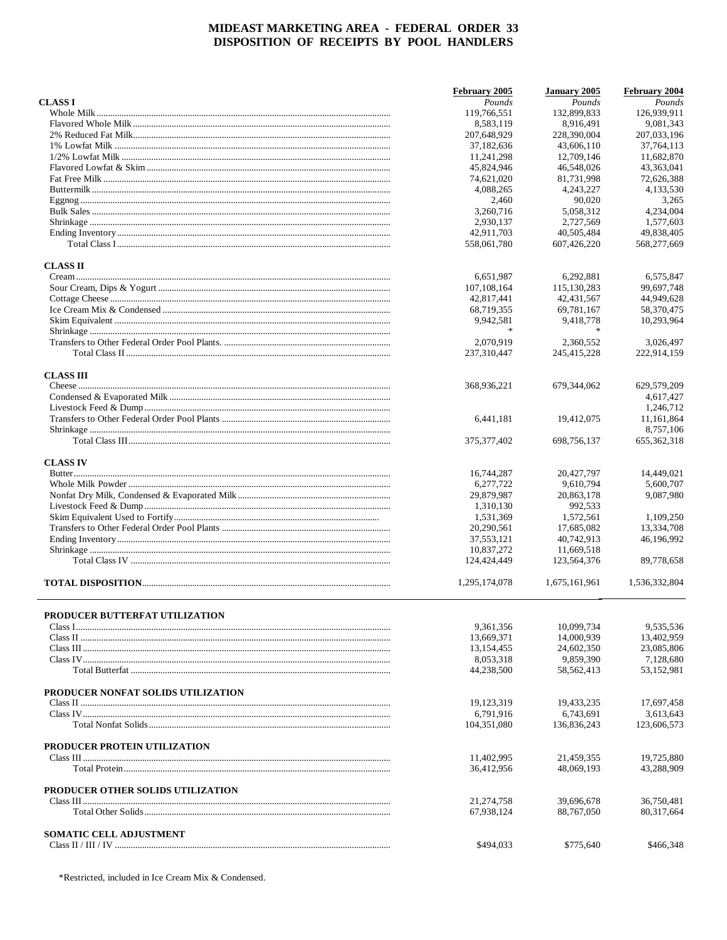|                                    | February 2005 | January 2005             | February 2004            |
|------------------------------------|---------------|--------------------------|--------------------------|
| <b>CLASS I</b>                     | Pounds        | Pounds                   | Pounds                   |
|                                    | 119,766,551   | 132,899,833              | 126,939,911              |
|                                    | 8,583,119     | 8,916,491                | 9,081,343                |
|                                    | 207,648,929   | 228,390,004              | 207,033,196              |
|                                    | 37,182,636    | 43,606,110               | 37,764,113               |
|                                    | 11,241,298    | 12,709,146               | 11,682,870               |
|                                    | 45,824,946    | 46,548,026               | 43,363,041               |
|                                    | 74,621,020    | 81,731,998               | 72,626,388               |
|                                    | 4,088,265     | 4,243,227                | 4,133,530                |
|                                    | 2,460         | 90,020                   | 3,265                    |
|                                    | 3.260.716     | 5,058,312                | 4,234,004                |
|                                    | 2,930,137     | 2.727.569                | 1,577,603                |
|                                    | 42,911,703    | 40,505,484               | 49,838,405               |
|                                    | 558,061,780   | 607,426,220              | 568,277,669              |
| <b>CLASS II</b>                    |               |                          |                          |
|                                    | 6,651,987     | 6,292,881                | 6,575,847                |
|                                    | 107,108,164   | 115,130,283              | 99,697,748               |
|                                    | 42,817,441    | 42,431,567               | 44,949,628               |
|                                    | 68,719,355    | 69,781,167               | 58,370,475               |
|                                    | 9,942,581     | 9,418,778                | 10,293,964               |
|                                    |               |                          |                          |
|                                    | 2,070,919     | 2.360.552                | 3,026,497                |
|                                    | 237,310,447   | 245,415,228              | 222,914,159              |
|                                    |               |                          |                          |
| <b>CLASS III</b>                   | 368,936,221   | 679,344,062              | 629,579,209              |
|                                    |               |                          | 4,617,427                |
|                                    |               |                          | 1,246,712                |
|                                    | 6,441,181     | 19,412,075               | 11,161,864               |
|                                    |               |                          | 8,757,106                |
|                                    | 375, 377, 402 | 698,756,137              | 655, 362, 318            |
|                                    |               |                          |                          |
| <b>CLASS IV</b>                    |               |                          |                          |
|                                    | 16,744,287    | 20,427,797               | 14,449,021               |
|                                    | 6,277,722     | 9,610,794                | 5,600,707                |
|                                    | 29,879,987    | 20,863,178               | 9,087,980                |
|                                    | 1,310,130     | 992,533                  |                          |
|                                    | 1,531,369     | 1,572,561                | 1,109,250                |
|                                    | 20,290,561    | 17,685,082               | 13,334,708               |
|                                    | 37,553,121    | 40,742,913               | 46,196,992               |
|                                    | 10,837,272    | 11,669,518               |                          |
|                                    | 124,424,449   | 123,564,376              | 89,778,658               |
|                                    | 1,295,174,078 | 1,675,161,961            | 1,536,332,804            |
|                                    |               |                          |                          |
| PRODUCER BUTTERFAT UTILIZATION     |               |                          |                          |
|                                    | 9,361,356     | 10,099,734<br>14,000,939 | 9,535,536                |
|                                    | 13,669,371    |                          | 13,402,959<br>23,085,806 |
|                                    | 13,154,455    | 24,602,350               |                          |
|                                    | 8,053,318     | 9,859,390                | 7,128,680                |
|                                    | 44,238,500    | 58, 562, 413             | 53,152,981               |
| PRODUCER NONFAT SOLIDS UTILIZATION |               |                          |                          |
|                                    | 19,123,319    | 19,433,235               | 17,697,458               |
|                                    | 6,791,916     | 6,743,691                | 3,613,643                |
|                                    | 104,351,080   | 136,836,243              | 123,606,573              |
| PRODUCER PROTEIN UTILIZATION       |               |                          |                          |
|                                    | 11,402,995    | 21,459,355               | 19,725,880               |
|                                    | 36,412,956    | 48,069,193               | 43,288,909               |
| PRODUCER OTHER SOLIDS UTILIZATION  |               |                          |                          |
|                                    | 21,274,758    | 39,696,678               | 36,750,481               |
|                                    | 67,938,124    | 88,767,050               | 80, 317, 664             |
| <b>SOMATIC CELL ADJUSTMENT</b>     |               |                          |                          |
|                                    | \$494,033     | \$775,640                | \$466,348                |
|                                    |               |                          |                          |

\*Restricted, included in Ice Cream Mix & Condensed.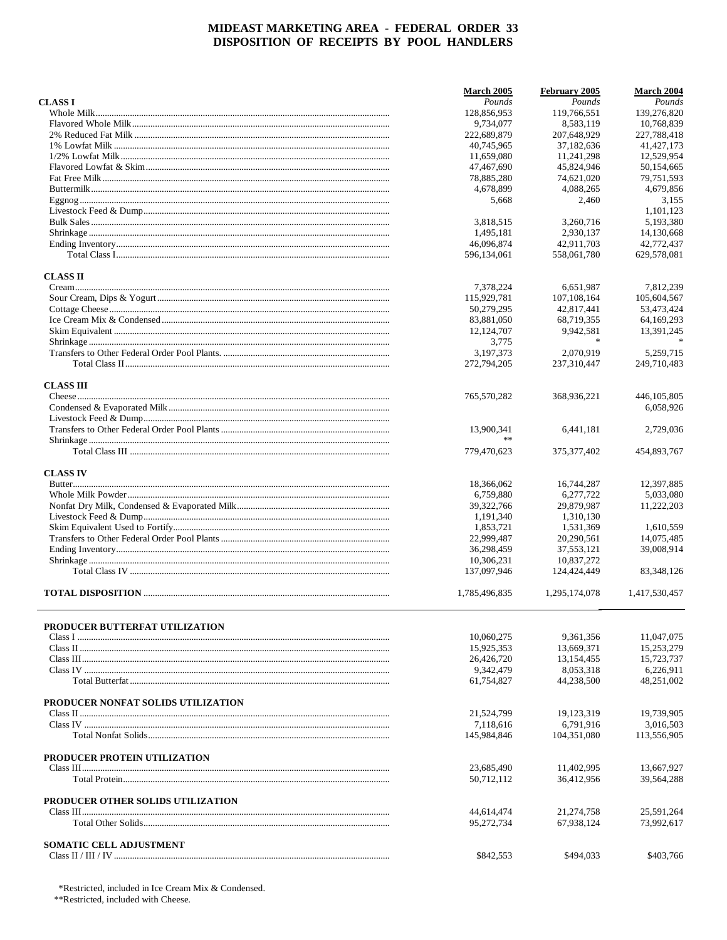|                                    | <b>March 2005</b>        | February 2005           | <b>March 2004</b>     |
|------------------------------------|--------------------------|-------------------------|-----------------------|
| <b>CLASS I</b>                     | Pounds                   | Pounds<br>119,766,551   | Pounds<br>139,276,820 |
|                                    | 128,856,953<br>9,734,077 | 8,583,119               | 10.768.839            |
|                                    | 222,689,879              | 207,648,929             | 227,788,418           |
|                                    | 40,745,965               | 37,182,636              | 41, 427, 173          |
|                                    | 11,659,080               | 11,241,298              | 12,529,954            |
|                                    | 47,467,690               | 45,824,946              | 50,154,665            |
|                                    | 78,885,280               | 74,621,020              | 79,751,593            |
|                                    | 4,678,899                | 4,088,265               | 4,679,856             |
|                                    | 5,668                    | 2,460                   | 3,155                 |
|                                    |                          |                         | 1.101.123             |
|                                    | 3,818,515                | 3,260,716               | 5,193,380             |
|                                    | 1,495,181                | 2,930,137               | 14,130,668            |
|                                    | 46,096,874               | 42.911.703              | 42,772,437            |
|                                    | 596,134,061              | 558,061,780             | 629,578,081           |
|                                    |                          |                         |                       |
| <b>CLASS II</b>                    |                          |                         |                       |
|                                    | 7,378,224                | 6,651,987               | 7,812,239             |
|                                    | 115,929,781              | 107, 108, 164           | 105,604,567           |
|                                    | 50,279,295               | 42,817,441              | 53,473,424            |
|                                    | 83,881,050               | 68,719,355              | 64,169,293            |
|                                    | 12,124,707               | 9.942.581<br>$\ast$     | 13,391,245            |
|                                    | 3,775                    |                         |                       |
|                                    | 3,197,373                | 2,070,919               | 5,259,715             |
|                                    | 272,794,205              | 237,310,447             | 249,710,483           |
| <b>CLASS III</b>                   |                          |                         |                       |
|                                    | 765,570,282              | 368,936,221             | 446, 105, 805         |
|                                    |                          |                         | 6,058,926             |
|                                    |                          |                         |                       |
|                                    | 13,900,341               | 6,441,181               | 2,729,036             |
|                                    | **                       |                         |                       |
|                                    | 779,470,623              | 375, 377, 402           | 454,893,767           |
| <b>CLASS IV</b>                    |                          |                         |                       |
|                                    | 18,366,062               | 16,744,287              | 12,397,885            |
|                                    | 6,759,880                | 6,277,722               | 5,033,080             |
|                                    | 39, 322, 766             | 29,879,987              | 11,222,203            |
|                                    | 1,191,340                | 1,310,130               |                       |
|                                    | 1,853,721                | 1,531,369               | 1,610,559             |
|                                    | 22,999,487               | 20,290,561              | 14,075,485            |
|                                    | 36,298,459               | 37,553,121              | 39,008,914            |
|                                    | 10,306,231               | 10,837,272              |                       |
|                                    | 137,097,946              | 124,424,449             | 83,348,126            |
|                                    | 1,785,496,835            | 1,295,174,078           | 1,417,530,457         |
|                                    |                          |                         |                       |
| PRODUCER BUTTERFAT UTILIZATION     |                          |                         |                       |
|                                    | 10.060.275               | 9.361.356               | 11,047,075            |
|                                    | 15,925,353               | 13,669,371              | 15,253,279            |
|                                    | 26,426,720               | 13,154,455<br>8.053.318 | 15,723,737            |
|                                    | 9,342,479                |                         | 6,226,911             |
|                                    | 61,754,827               | 44,238,500              | 48,251,002            |
| PRODUCER NONFAT SOLIDS UTILIZATION |                          |                         |                       |
|                                    | 21,524,799               | 19,123,319              | 19.739.905            |
|                                    | 7,118,616                | 6,791,916               | 3,016,503             |
|                                    | 145,984,846              | 104.351.080             | 113,556,905           |
| PRODUCER PROTEIN UTILIZATION       |                          |                         |                       |
|                                    | 23,685,490               | 11,402,995              | 13.667.927            |
|                                    | 50,712,112               | 36,412,956              | 39,564,288            |
| PRODUCER OTHER SOLIDS UTILIZATION  |                          |                         |                       |
|                                    | 44,614,474               | 21,274,758              | 25,591,264            |
|                                    | 95,272,734               | 67,938,124              | 73,992,617            |
| <b>SOMATIC CELL ADJUSTMENT</b>     |                          |                         |                       |
|                                    | \$842,553                | \$494,033               | \$403,766             |

\*Restricted, included in Ice Cream Mix & Condensed.

\*\*Restricted, included with Cheese.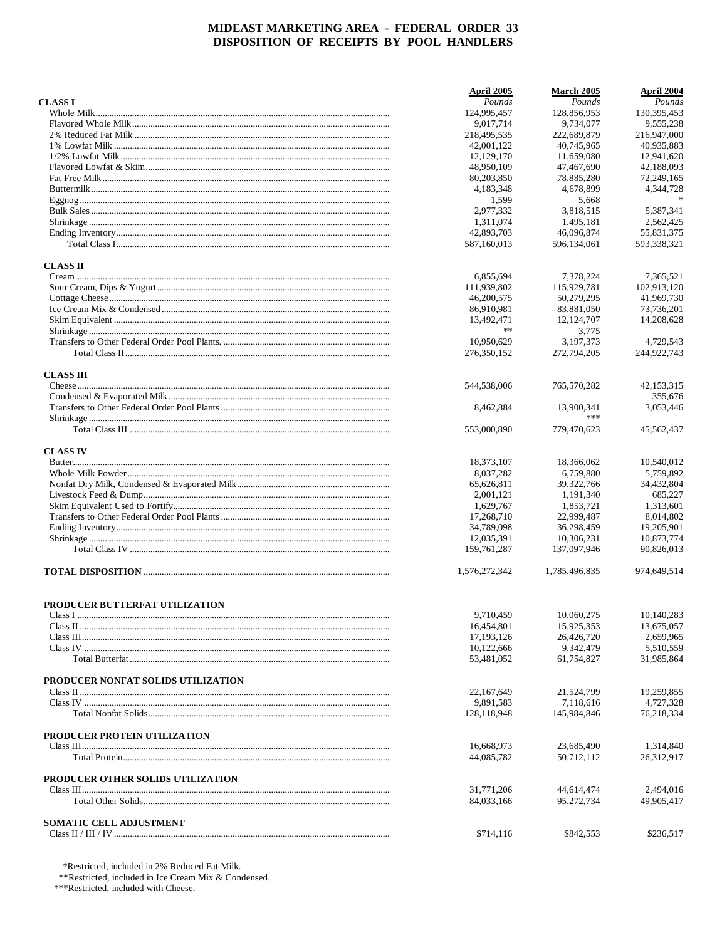|                                    | <b>April 2005</b> | March 2005    | April 2004   |
|------------------------------------|-------------------|---------------|--------------|
| <b>CLASS I</b>                     | Pounds            | Pounds        | Pounds       |
|                                    | 124,995,457       | 128,856,953   | 130,395,453  |
|                                    | 9,017,714         | 9,734,077     | 9,555,238    |
|                                    | 218,495,535       | 222,689,879   | 216,947,000  |
|                                    | 42,001,122        | 40.745.965    | 40,935,883   |
|                                    | 12,129,170        | 11,659,080    | 12,941,620   |
|                                    |                   |               |              |
|                                    | 48,950,109        | 47,467,690    | 42,188,093   |
|                                    | 80,203,850        | 78,885,280    | 72,249,165   |
|                                    | 4,183,348         | 4,678,899     | 4,344,728    |
|                                    | 1,599             | 5,668         |              |
|                                    | 2,977,332         | 3,818,515     | 5,387,341    |
|                                    | 1,311,074         | 1,495,181     | 2,562,425    |
|                                    | 42,893,703        | 46,096,874    | 55,831,375   |
|                                    | 587,160,013       | 596,134,061   | 593,338,321  |
| <b>CLASS II</b>                    |                   |               |              |
|                                    | 6,855,694         | 7,378,224     | 7,365,521    |
|                                    |                   |               |              |
|                                    | 111,939,802       | 115,929,781   | 102,913,120  |
|                                    | 46,200,575        | 50,279,295    | 41,969,730   |
|                                    | 86,910,981        | 83,881,050    | 73,736,201   |
|                                    | 13,492,471        | 12,124,707    | 14,208,628   |
|                                    | $\ast$            | 3,775         |              |
|                                    | 10,950,629        | 3.197.373     | 4,729,543    |
|                                    | 276,350,152       | 272,794,205   | 244,922,743  |
|                                    |                   |               |              |
| <b>CLASS III</b>                   |                   |               |              |
|                                    | 544,538,006       | 765,570,282   | 42, 153, 315 |
|                                    |                   |               | 355,676      |
|                                    | 8,462,884         | 13.900.341    | 3,053,446    |
|                                    |                   | ***           |              |
|                                    | 553,000,890       | 779,470,623   | 45,562,437   |
| <b>CLASS IV</b>                    |                   |               |              |
|                                    | 18,373,107        | 18,366,062    | 10,540,012   |
|                                    |                   |               |              |
|                                    | 8,037,282         | 6,759,880     | 5,759,892    |
|                                    | 65,626,811        | 39,322,766    | 34,432,804   |
|                                    | 2,001,121         | 1,191,340     | 685,227      |
|                                    | 1,629,767         | 1,853,721     | 1,313,601    |
|                                    | 17,268,710        | 22,999,487    | 8,014,802    |
|                                    | 34,789,098        | 36,298,459    | 19,205,901   |
|                                    | 12,035,391        | 10,306,231    | 10,873,774   |
|                                    | 159, 761, 287     | 137,097,946   | 90,826,013   |
|                                    | 1,576,272,342     | 1,785,496,835 | 974.649.514  |
|                                    |                   |               |              |
| PRODUCER BUTTERFAT UTILIZATION     | 9,710,459         | 10,060,275    | 10,140,283   |
|                                    |                   |               |              |
|                                    | 16,454,801        | 15,925,353    | 13,675,057   |
|                                    | 17, 193, 126      | 26,426,720    | 2,659,965    |
|                                    | 10,122,666        | 9,342,479     | 5,510,559    |
|                                    | 53,481,052        | 61,754,827    | 31,985,864   |
| PRODUCER NONFAT SOLIDS UTILIZATION |                   |               |              |
|                                    | 22,167,649        | 21,524,799    | 19,259,855   |
|                                    | 9,891,583         | 7,118,616     | 4,727,328    |
|                                    | 128,118,948       | 145,984,846   | 76,218,334   |
|                                    |                   |               |              |
| PRODUCER PROTEIN UTILIZATION       |                   |               |              |
|                                    | 16,668,973        | 23,685,490    | 1,314,840    |
|                                    | 44,085,782        | 50,712,112    | 26,312,917   |
| PRODUCER OTHER SOLIDS UTILIZATION  |                   |               |              |
|                                    | 31,771,206        | 44,614,474    | 2,494,016    |
|                                    | 84,033,166        | 95,272,734    | 49,905,417   |
| <b>SOMATIC CELL ADJUSTMENT</b>     |                   |               |              |
|                                    | \$714,116         | \$842,553     | \$236,517    |
|                                    |                   |               |              |

\*Restricted, included in 2% Reduced Fat Milk.

\*\*Restricted, included in Ice Cream Mix & Condensed.

\*\*\*Restricted, included with Cheese.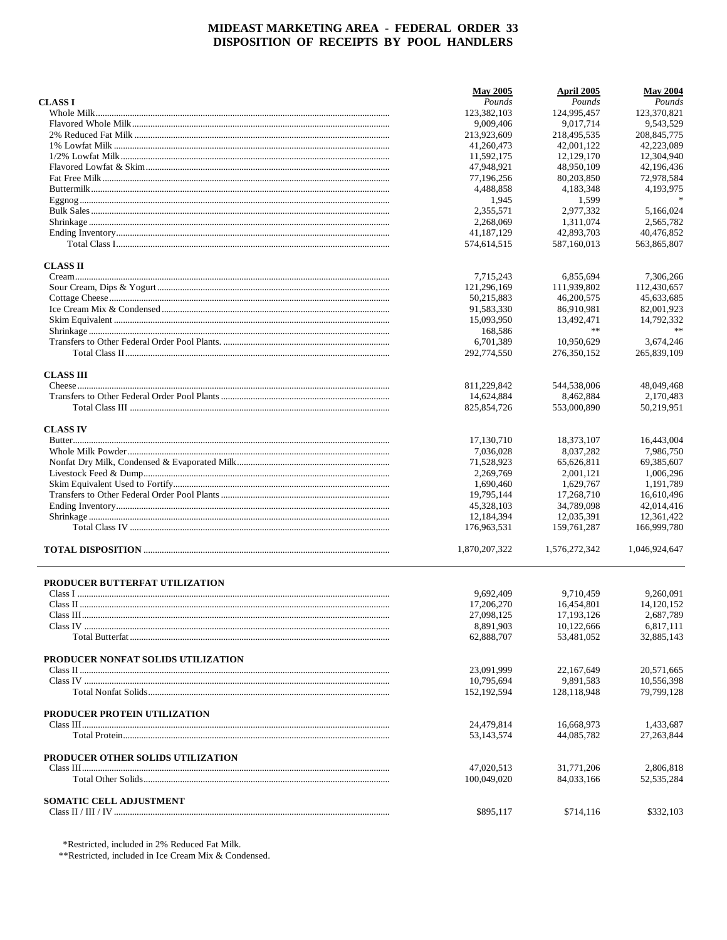|                                    | <b>May 2005</b> | April 2005    | <b>May 2004</b> |
|------------------------------------|-----------------|---------------|-----------------|
| <b>CLASS I</b>                     | Pounds          | Pounds        | Pounds          |
|                                    | 123,382,103     | 124,995,457   | 123,370,821     |
|                                    | 9,009,406       | 9.017.714     | 9,543,529       |
|                                    | 213,923,609     | 218,495,535   | 208, 845, 775   |
|                                    | 41,260,473      | 42.001.122    | 42,223,089      |
|                                    | 11,592,175      | 12,129,170    | 12,304,940      |
|                                    | 47,948,921      | 48,950,109    | 42,196,436      |
|                                    | 77,196,256      | 80,203,850    | 72,978,584      |
|                                    | 4,488,858       | 4,183,348     | 4,193,975       |
|                                    | 1,945           | 1,599         |                 |
|                                    | 2,355,571       | 2,977,332     | 5,166,024       |
|                                    | 2,268,069       | 1.311.074     | 2,565,782       |
|                                    | 41,187,129      | 42,893,703    | 40,476,852      |
|                                    | 574,614,515     | 587,160,013   | 563,865,807     |
| <b>CLASS II</b>                    |                 |               |                 |
|                                    | 7,715,243       | 6,855,694     | 7,306,266       |
|                                    | 121,296,169     | 111,939,802   | 112,430,657     |
|                                    | 50,215,883      | 46,200,575    | 45,633,685      |
|                                    | 91,583,330      | 86,910,981    | 82,001,923      |
|                                    | 15,093,950      | 13,492,471    | 14,792,332      |
|                                    | 168,586         | **            | **              |
|                                    | 6,701,389       | 10,950,629    | 3,674,246       |
|                                    | 292,774,550     | 276,350,152   | 265,839,109     |
| <b>CLASS III</b>                   |                 |               |                 |
|                                    | 811,229,842     | 544,538,006   | 48,049,468      |
|                                    | 14,624,884      | 8,462,884     | 2.170.483       |
|                                    | 825, 854, 726   | 553,000,890   | 50,219,951      |
| <b>CLASS IV</b>                    |                 |               |                 |
|                                    | 17,130,710      | 18,373,107    | 16,443,004      |
|                                    | 7,036,028       | 8,037,282     | 7,986,750       |
|                                    | 71,528,923      | 65,626,811    | 69,385,607      |
|                                    | 2,269,769       | 2,001,121     | 1,006,296       |
|                                    | 1,690,460       | 1,629,767     | 1,191,789       |
|                                    | 19,795,144      | 17,268,710    | 16,610,496      |
|                                    | 45,328,103      | 34,789,098    | 42,014,416      |
|                                    | 12,184,394      | 12,035,391    | 12,361,422      |
|                                    | 176,963,531     | 159,761,287   | 166,999,780     |
|                                    | 1,870,207,322   | 1,576,272,342 | 1,046,924,647   |
| PRODUCER BUTTERFAT UTILIZATION     |                 |               |                 |
|                                    | 9,692,409       | 9,710,459     | 9,260,091       |
|                                    | 17,206,270      | 16,454,801    | 14,120,152      |
|                                    | 27,098,125      | 17,193,126    | 2,687,789       |
|                                    | 8,891,903       | 10,122,666    | 6,817,111       |
|                                    | 62,888,707      | 53,481,052    | 32,885,143      |
| PRODUCER NONFAT SOLIDS UTILIZATION |                 |               |                 |
|                                    | 23,091,999      | 22.167.649    | 20,571,665      |
|                                    | 10,795,694      | 9,891,583     | 10,556,398      |
|                                    | 152,192,594     | 128,118,948   | 79,799,128      |
| PRODUCER PROTEIN UTILIZATION       |                 |               |                 |
|                                    | 24,479,814      | 16,668,973    | 1,433,687       |
|                                    | 53,143,574      | 44,085,782    | 27, 263, 844    |
| PRODUCER OTHER SOLIDS UTILIZATION  | 47,020,513      | 31,771,206    | 2,806,818       |
|                                    | 100,049,020     | 84,033,166    | 52, 535, 284    |
| <b>SOMATIC CELL ADJUSTMENT</b>     |                 |               |                 |
|                                    | \$895,117       | \$714,116     | \$332,103       |

\*Restricted, included in 2% Reduced Fat Milk.

\*\*Restricted, included in Ice Cream Mix & Condensed.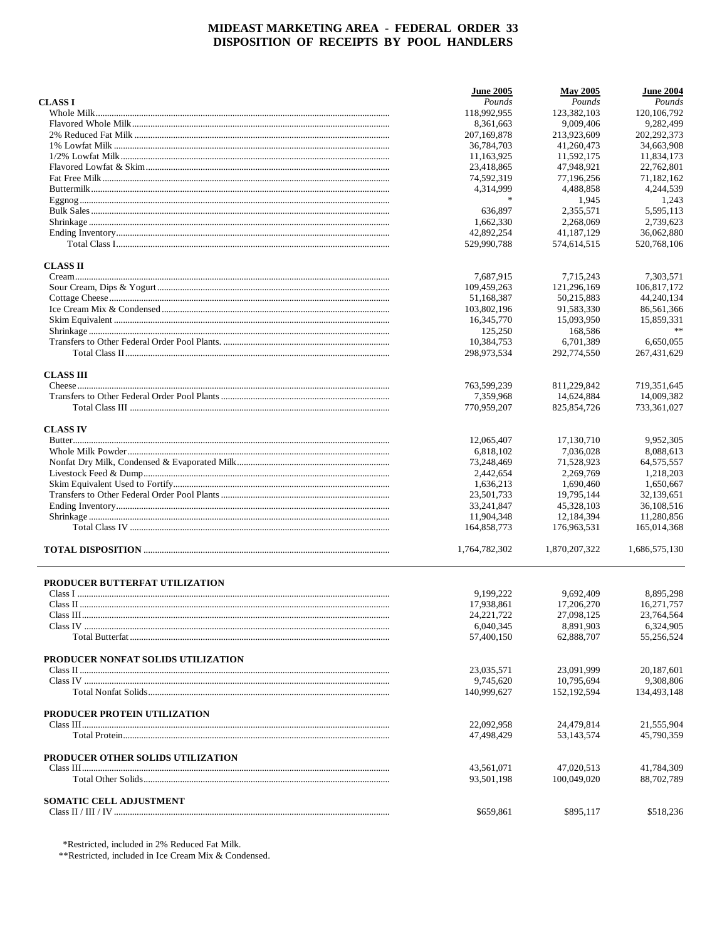|                                    | <b>June 2005</b>        | <b>May 2005</b>         | <b>June 2004</b>        |
|------------------------------------|-------------------------|-------------------------|-------------------------|
| <b>CLASS I</b>                     | Pounds                  | Pounds                  | Pounds                  |
|                                    | 118,992,955             | 123,382,103             | 120, 106, 792           |
|                                    | 8,361,663               | 9,009,406               | 9,282,499               |
|                                    | 207,169,878             | 213,923,609             | 202, 292, 373           |
|                                    | 36,784,703              | 41,260,473              | 34,663,908              |
|                                    | 11,163,925              | 11,592,175              | 11,834,173              |
|                                    | 23,418,865              | 47,948,921              | 22,762,801              |
|                                    | 74,592,319              | 77,196,256              | 71,182,162              |
|                                    | 4,314,999               | 4,488,858               | 4,244,539               |
|                                    | $\ast$                  | 1,945                   | 1,243                   |
|                                    | 636,897                 | 2,355,571               | 5,595,113               |
|                                    | 1,662,330               | 2,268,069               | 2,739,623               |
|                                    | 42,892,254              | 41,187,129              | 36,062,880              |
|                                    | 529,990,788             | 574,614,515             | 520,768,106             |
| <b>CLASS II</b>                    |                         |                         |                         |
|                                    | 7,687,915               | 7,715,243               | 7,303,571               |
|                                    | 109,459,263             | 121,296,169             | 106,817,172             |
|                                    | 51,168,387              | 50,215,883              | 44,240,134              |
|                                    | 103,802,196             | 91,583,330              | 86,561,366              |
|                                    | 16,345,770              | 15,093,950              | 15,859,331              |
|                                    | 125,250                 | 168,586                 | **                      |
|                                    | 10,384,753              | 6,701,389               | 6,650,055               |
|                                    | 298,973,534             | 292,774,550             | 267,431,629             |
| <b>CLASS III</b>                   |                         |                         |                         |
|                                    | 763,599,239             | 811,229,842             | 719, 351, 645           |
|                                    | 7,359,968               | 14,624,884              | 14,009,382              |
|                                    | 770,959,207             | 825, 854, 726           | 733,361,027             |
| <b>CLASS IV</b>                    |                         |                         |                         |
|                                    | 12,065,407              | 17,130,710              | 9,952,305               |
|                                    | 6,818,102               | 7,036,028               | 8,088,613               |
|                                    | 73,248,469              | 71,528,923              | 64, 575, 557            |
|                                    | 2,442,654               | 2,269,769               | 1,218,203               |
|                                    | 1,636,213               | 1,690,460               | 1,650,667               |
|                                    | 23,501,733              | 19,795,144              | 32,139,651              |
|                                    | 33,241,847              | 45,328,103              | 36,108,516              |
|                                    | 11,904,348              | 12,184,394              | 11,280,856              |
|                                    | 164,858,773             | 176,963,531             | 165,014,368             |
|                                    | 1,764,782,302           | 1,870,207,322           | 1,686,575,130           |
|                                    |                         |                         |                         |
| PRODUCER BUTTERFAT UTILIZATION     |                         |                         |                         |
|                                    | 9,199,222               | 9.692.409               | 8,895,298               |
|                                    | 17,938,861              | 17,206,270              | 16,271,757              |
|                                    | 24, 221, 722            | 27,098,125<br>8.891.903 | 23,764,564              |
|                                    | 6,040,345<br>57,400,150 | 62,888,707              | 6,324,905<br>55,256,524 |
|                                    |                         |                         |                         |
| PRODUCER NONFAT SOLIDS UTILIZATION |                         | 23.091.999              |                         |
|                                    | 23,035,571              |                         | 20,187,601              |
|                                    | 9,745,620               | 10,795,694              | 9,308,806               |
|                                    | 140,999,627             | 152,192,594             | 134,493,148             |
| PRODUCER PROTEIN UTILIZATION       |                         |                         |                         |
|                                    | 22,092,958              | 24,479,814              | 21,555,904              |
|                                    | 47,498,429              | 53,143,574              | 45,790,359              |
| PRODUCER OTHER SOLIDS UTILIZATION  | 43,561,071              | 47,020,513              | 41,784,309              |
|                                    | 93,501,198              | 100,049,020             | 88,702,789              |
| SOMATIC CELL ADJUSTMENT            |                         |                         |                         |
|                                    | \$659,861               | \$895,117               | \$518,236               |
|                                    |                         |                         |                         |

\*Restricted, included in 2% Reduced Fat Milk.

\*\*Restricted, included in Ice Cream Mix & Condensed.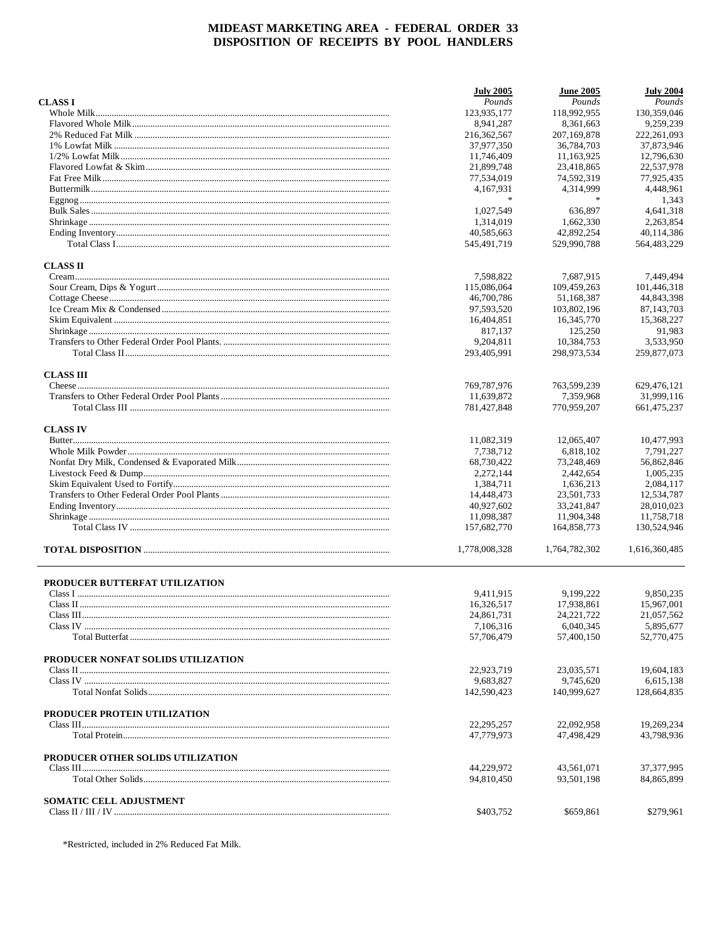|                                    | <b>July 2005</b> | <b>June 2005</b> | <b>July 2004</b> |
|------------------------------------|------------------|------------------|------------------|
| <b>CLASS I</b>                     | Pounds           | Pounds           | Pounds           |
|                                    | 123,935,177      | 118,992,955      | 130,359,046      |
|                                    | 8,941,287        | 8.361.663        | 9.259.239        |
|                                    | 216,362,567      | 207,169,878      | 222, 261, 093    |
|                                    | 37,977,350       | 36,784,703       | 37,873,946       |
|                                    | 11,746,409       | 11,163,925       | 12,796,630       |
|                                    | 21,899,748       | 23,418,865       | 22,537,978       |
|                                    | 77,534,019       | 74,592,319       | 77,925,435       |
|                                    | 4,167,931        | 4,314,999        | 4,448,961        |
|                                    | $\frac{1}{2}$    | $\ast$           | 1,343            |
|                                    | 1,027,549        | 636,897          | 4,641,318        |
|                                    | 1,314,019        | 1,662,330        | 2.263.854        |
|                                    | 40,585,663       | 42,892,254       | 40,114,386       |
|                                    | 545,491,719      | 529,990,788      | 564,483,229      |
| <b>CLASS II</b>                    |                  |                  |                  |
|                                    | 7,598,822        | 7,687,915        | 7,449,494        |
|                                    | 115,086,064      | 109,459,263      | 101,446,318      |
|                                    | 46,700,786       | 51,168,387       | 44,843,398       |
|                                    | 97,593,520       | 103,802,196      | 87,143,703       |
|                                    | 16,404,851       | 16,345,770       | 15.368.227       |
|                                    | 817,137          | 125,250          | 91,983           |
|                                    | 9,204,811        | 10,384,753       | 3,533,950        |
|                                    | 293,405,991      | 298,973,534      | 259,877,073      |
|                                    |                  |                  |                  |
| <b>CLASS III</b>                   |                  |                  |                  |
|                                    | 769,787,976      | 763,599,239      | 629,476,121      |
|                                    | 11,639,872       | 7,359,968        | 31,999,116       |
|                                    | 781,427,848      | 770,959,207      | 661,475,237      |
| <b>CLASS IV</b>                    |                  |                  |                  |
|                                    | 11,082,319       | 12,065,407       | 10,477,993       |
|                                    | 7,738,712        | 6,818,102        | 7,791,227        |
|                                    | 68,730,422       | 73,248,469       | 56,862,846       |
|                                    | 2,272,144        | 2,442,654        | 1,005,235        |
|                                    | 1,384,711        | 1,636,213        | 2,084,117        |
|                                    | 14,448,473       | 23,501,733       | 12,534,787       |
|                                    | 40,927,602       | 33,241,847       | 28,010,023       |
|                                    | 11,098,387       | 11,904,348       | 11,758,718       |
|                                    | 157,682,770      | 164,858,773      | 130,524,946      |
|                                    | 1,778,008,328    | 1,764,782,302    | 1,616,360,485    |
|                                    |                  |                  |                  |
| PRODUCER BUTTERFAT UTILIZATION     |                  |                  |                  |
|                                    | 9,411,915        | 9.199.222        | 9,850,235        |
|                                    | 16,326,517       | 17.938.861       | 15,967,001       |
|                                    | 24,861,731       | 24, 221, 722     | 21,057,562       |
|                                    | 7,106,316        | 6,040,345        | 5,895,677        |
|                                    | 57,706,479       | 57,400,150       | 52,770,475       |
| PRODUCER NONFAT SOLIDS UTILIZATION |                  |                  |                  |
|                                    | 22,923,719       | 23,035,571       | 19,604,183       |
|                                    | 9,683,827        | 9,745,620        | 6,615,138        |
|                                    | 142,590,423      | 140,999,627      | 128,664,835      |
| PRODUCER PROTEIN UTILIZATION       |                  |                  |                  |
|                                    | 22, 295, 257     | 22,092,958       | 19,269,234       |
|                                    | 47,779,973       | 47,498,429       | 43,798,936       |
| PRODUCER OTHER SOLIDS UTILIZATION  |                  |                  |                  |
|                                    | 44,229,972       | 43,561,071       | 37, 377, 995     |
|                                    | 94,810,450       | 93,501,198       | 84,865,899       |
| SOMATIC CELL ADJUSTMENT            |                  |                  |                  |
|                                    | \$403,752        | \$659,861        | \$279,961        |
|                                    |                  |                  |                  |

\*Restricted, included in 2% Reduced Fat Milk.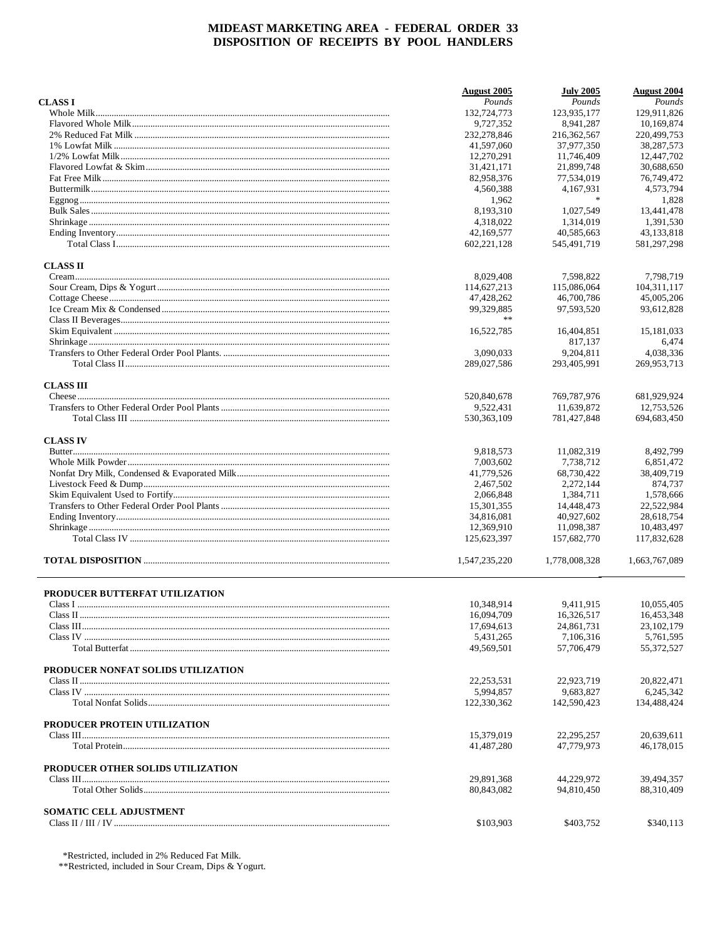|                                    | August 2005              | <b>July 2005</b>         | <b>August 2004</b>       |
|------------------------------------|--------------------------|--------------------------|--------------------------|
| <b>CLASSI</b>                      | Pounds                   | Pounds                   | Pounds                   |
|                                    | 132,724,773              | 123,935,177              | 129,911,826              |
|                                    | 9,727,352                | 8.941.287                | 10,169,874               |
|                                    | 232,278,846              | 216, 362, 567            | 220,499,753              |
|                                    | 41,597,060               | 37,977,350               | 38,287,573               |
|                                    | 12,270,291               | 11,746,409               | 12,447,702               |
|                                    | 31,421,171               | 21,899,748               | 30,688,650               |
|                                    | 82,958,376               | 77,534,019               | 76,749,472               |
|                                    | 4,560,388                | 4,167,931                | 4,573,794                |
|                                    | 1,962                    | $\ast$                   | 1,828                    |
|                                    | 8,193,310                | 1,027,549                | 13,441,478               |
|                                    | 4.318.022                | 1.314.019                | 1.391.530                |
|                                    | 42,169,577               | 40,585,663               | 43,133,818               |
|                                    | 602, 221, 128            | 545,491,719              | 581.297.298              |
| <b>CLASS II</b>                    |                          |                          |                          |
|                                    | 8,029,408                | 7,598,822                | 7,798,719                |
|                                    | 114,627,213              | 115,086,064              | 104, 311, 117            |
|                                    | 47,428,262               | 46,700,786               | 45,005,206               |
|                                    | 99,329,885               | 97,593,520               | 93,612,828               |
|                                    | **                       |                          |                          |
|                                    |                          |                          |                          |
|                                    | 16,522,785               | 16,404,851               | 15,181,033               |
|                                    |                          | 817,137                  | 6,474                    |
|                                    | 3,090,033                | 9.204.811                | 4,038,336                |
|                                    | 289,027,586              | 293.405.991              | 269,953,713              |
| <b>CLASS III</b>                   |                          |                          |                          |
|                                    | 520,840,678              | 769,787,976              | 681.929.924              |
|                                    | 9.522.431                | 11,639,872               | 12,753,526               |
|                                    | 530, 363, 109            | 781,427,848              | 694, 683, 450            |
| <b>CLASS IV</b>                    |                          |                          |                          |
|                                    | 9,818,573                | 11,082,319               | 8,492,799                |
|                                    | 7,003,602                | 7,738,712                | 6,851,472                |
|                                    | 41,779,526               | 68,730,422               | 38,409,719               |
|                                    | 2,467,502                | 2,272,144                | 874,737                  |
|                                    | 2,066,848                | 1,384,711                | 1,578,666                |
|                                    | 15,301,355               | 14,448,473               | 22,522,984               |
|                                    | 34,816,081               | 40,927,602               | 28,618,754               |
|                                    | 12,369,910               | 11,098,387               | 10,483,497               |
|                                    | 125,623,397              | 157,682,770              | 117,832,628              |
|                                    | 1,547,235,220            | 1,778,008,328            | 1,663,767,089            |
|                                    |                          |                          |                          |
| PRODUCER BUTTERFAT UTILIZATION     |                          |                          |                          |
|                                    | 10,348,914               | 9,411,915                | 10,055,405               |
| Class II.                          | 16,094,709               | 16,326,517               | 16,453,348               |
|                                    | 17,694,613               | 24,861,731               | 23, 102, 179             |
|                                    | 5,431,265                | 7,106,316                | 5,761,595                |
|                                    | 49.569.501               | 57,706,479               | 55,372,527               |
| PRODUCER NONFAT SOLIDS UTILIZATION |                          |                          |                          |
|                                    | 22, 253, 531             | 22,923,719               | 20,822,471               |
|                                    | 5,994,857                | 9.683.827                | 6,245,342                |
|                                    | 122,330,362              | 142.590.423              | 134,488,424              |
| PRODUCER PROTEIN UTILIZATION       |                          |                          |                          |
|                                    | 15,379,019               | 22, 295, 257             | 20,639,611               |
|                                    | 41,487,280               | 47.779.973               | 46,178,015               |
| PRODUCER OTHER SOLIDS UTILIZATION  |                          |                          |                          |
|                                    | 29,891,368<br>80,843,082 | 44,229,972<br>94,810,450 | 39,494,357<br>88,310,409 |
|                                    |                          |                          |                          |
| SOMATIC CELL ADJUSTMENT            | \$103,903                | \$403,752                | \$340,113                |
|                                    |                          |                          |                          |

 $\begin{array}{l} \text{\tt *Restricted, included in 2\% \cdots} \\ \text{\tt *Restricted, included in 2\% \cdots} \\ \text{\tt *Restricted, included in 3\text{our Cream, Dips & Yogurt.} \end{array}$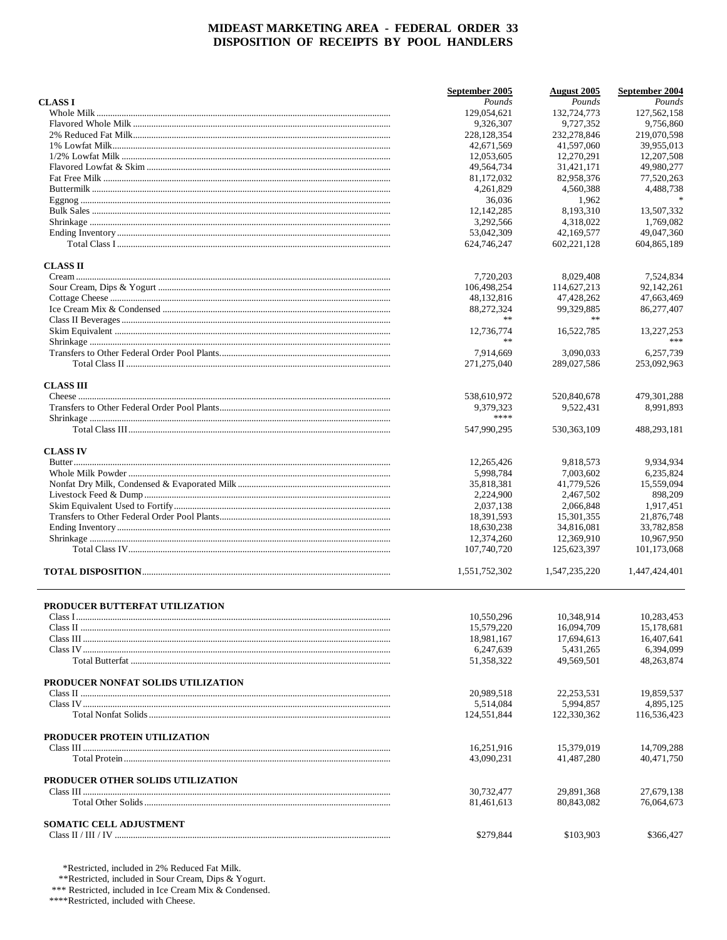|                                    | September 2005 | <b>August</b> 2005 | September 2004 |
|------------------------------------|----------------|--------------------|----------------|
| <b>CLASSI</b>                      | Pounds         | Pounds             | Pounds         |
|                                    | 129,054,621    | 132,724,773        | 127,562,158    |
|                                    | 9.326.307      | 9,727,352          | 9,756,860      |
|                                    | 228,128,354    | 232,278,846        | 219,070,598    |
|                                    | 42,671,569     | 41,597,060         | 39,955,013     |
|                                    | 12,053,605     | 12,270,291         | 12,207,508     |
|                                    | 49,564,734     | 31,421,171         | 49,980,277     |
|                                    | 81,172,032     | 82,958,376         | 77,520,263     |
|                                    | 4,261,829      | 4,560,388          | 4,488,738      |
|                                    | 36,036         | 1,962              |                |
|                                    | 12,142,285     | 8.193.310          | 13,507,332     |
|                                    | 3,292,566      | 4,318,022          | 1,769,082      |
|                                    | 53,042,309     | 42,169,577         | 49,047,360     |
|                                    | 624,746,247    | 602, 221, 128      | 604,865,189    |
| <b>CLASS II</b>                    |                |                    |                |
|                                    | 7,720,203      | 8,029,408          | 7,524,834      |
|                                    | 106,498,254    | 114,627,213        | 92,142,261     |
|                                    | 48,132,816     | 47,428,262         | 47,663,469     |
|                                    | 88,272,324     | 99,329,885         | 86,277,407     |
|                                    | **             |                    |                |
|                                    | 12,736,774     | 16,522,785         | 13.227.253     |
|                                    | $\ast$ $\ast$  |                    | ***            |
|                                    | 7,914,669      | 3,090,033          | 6,257,739      |
|                                    | 271,275,040    | 289,027,586        | 253,092,963    |
|                                    |                |                    |                |
| <b>CLASS III</b>                   | 538,610,972    | 520,840,678        | 479, 301, 288  |
|                                    | 9.379.323      | 9,522,431          | 8.991.893      |
|                                    | ****           |                    |                |
|                                    | 547,990,295    | 530, 363, 109      | 488,293,181    |
| <b>CLASS IV</b>                    |                |                    |                |
|                                    | 12,265,426     | 9,818,573          | 9,934,934      |
|                                    | 5,998,784      | 7,003,602          | 6,235,824      |
|                                    | 35,818,381     | 41,779,526         | 15,559,094     |
|                                    | 2,224,900      | 2,467,502          | 898,209        |
|                                    | 2,037,138      | 2,066,848          | 1,917,451      |
|                                    | 18,391,593     | 15,301,355         | 21,876,748     |
|                                    | 18,630,238     | 34,816,081         | 33,782,858     |
|                                    | 12,374,260     | 12,369,910         | 10,967,950     |
|                                    | 107,740,720    | 125,623,397        | 101,173,068    |
|                                    | 1,551,752,302  | 1.547.235.220      | 1,447,424,401  |
|                                    |                |                    |                |
| PRODUCER BUTTERFAT UTILIZATION     |                |                    |                |
|                                    | 10,550,296     | 10,348,914         | 10,283,453     |
|                                    | 15,579,220     | 16,094,709         | 15,178,681     |
|                                    | 18,981,167     | 17,694,613         | 16,407,641     |
|                                    | 6,247,639      | 5,431,265          | 6,394,099      |
|                                    | 51,358,322     | 49,569,501         | 48,263,874     |
|                                    |                |                    |                |
| PRODUCER NONFAT SOLIDS UTILIZATION |                | 22,253,531         | 19,859,537     |
|                                    | 20,989,518     |                    |                |
|                                    | 5,514,084      | 5,994,857          | 4,895,125      |
|                                    | 124,551,844    | 122,330,362        | 116,536,423    |
| PRODUCER PROTEIN UTILIZATION       |                |                    |                |
|                                    | 16,251,916     | 15,379,019         | 14,709,288     |
|                                    | 43,090,231     | 41,487,280         | 40,471,750     |
| PRODUCER OTHER SOLIDS UTILIZATION  |                |                    |                |
|                                    | 30,732,477     | 29,891,368         | 27,679,138     |
|                                    | 81,461,613     | 80,843,082         | 76,064,673     |
| SOMATIC CELL ADJUSTMENT            |                |                    |                |
|                                    | \$279,844      | \$103,903          | \$366,427      |
|                                    |                |                    |                |

\*Restricted, included in 2% Reduced Fat Milk.<br>\*\*Restricted, included in Sour Cream, Dips & Yogurt.<br>\*\*\* Restricted, included in Ice Cream Mix & Condensed.

\*\*\*\*Restricted, included with Cheese.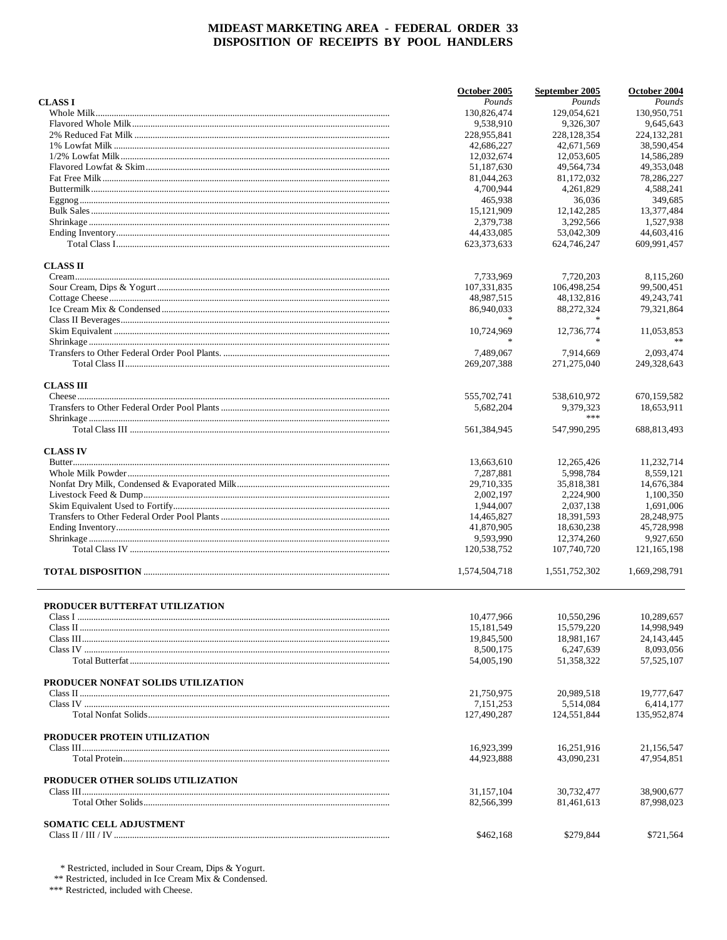|                                    | October 2005  | September 2005 | October 2004  |
|------------------------------------|---------------|----------------|---------------|
| <b>CLASS I</b>                     | Pounds        | Pounds         | Pounds        |
|                                    | 130,826,474   | 129,054,621    | 130,950,751   |
|                                    | 9.538.910     | 9,326,307      | 9,645,643     |
|                                    | 228,955,841   | 228,128,354    | 224, 132, 281 |
|                                    | 42,686,227    | 42,671,569     | 38,590,454    |
|                                    | 12,032,674    | 12,053,605     | 14,586,289    |
|                                    | 51,187,630    | 49,564,734     | 49,353,048    |
|                                    | 81,044,263    | 81,172,032     | 78,286,227    |
|                                    | 4,700,944     | 4,261,829      | 4,588,241     |
|                                    |               |                |               |
|                                    | 465,938       | 36,036         | 349,685       |
|                                    | 15, 121, 909  | 12, 142, 285   | 13,377,484    |
|                                    | 2.379.738     | 3,292,566      | 1,527,938     |
|                                    | 44,433,085    | 53,042,309     | 44,603,416    |
|                                    | 623,373,633   | 624,746,247    | 609,991,457   |
| <b>CLASS II</b>                    |               |                |               |
|                                    | 7,733,969     | 7,720,203      | 8,115,260     |
|                                    | 107,331,835   | 106,498,254    | 99,500,451    |
|                                    | 48,987,515    | 48,132,816     | 49,243,741    |
|                                    |               |                |               |
|                                    | 86,940,033    | 88,272,324     | 79,321,864    |
|                                    |               |                |               |
|                                    | 10,724,969    | 12,736,774     | 11,053,853    |
|                                    | $\ast$        | $\mathbf{x}$   |               |
|                                    | 7,489,067     | 7,914,669      | 2,093,474     |
|                                    | 269, 207, 388 | 271,275,040    | 249,328,643   |
| <b>CLASS III</b>                   |               |                |               |
|                                    | 555,702,741   | 538,610,972    | 670,159,582   |
|                                    | 5.682.204     | 9.379.323      | 18,653,911    |
|                                    |               | ***            |               |
|                                    | 561,384,945   | 547,990,295    | 688,813,493   |
| <b>CLASS IV</b>                    |               |                |               |
|                                    | 13,663,610    | 12,265,426     | 11,232,714    |
|                                    | 7,287,881     | 5,998,784      | 8,559,121     |
|                                    | 29,710,335    | 35,818,381     | 14,676,384    |
|                                    |               |                |               |
|                                    | 2,002,197     | 2,224,900      | 1,100,350     |
|                                    | 1,944,007     | 2,037,138      | 1,691,006     |
|                                    | 14,465,827    | 18,391,593     | 28,248,975    |
|                                    | 41,870,905    | 18,630,238     | 45,728,998    |
|                                    | 9,593,990     | 12,374,260     | 9,927,650     |
|                                    | 120,538,752   | 107,740,720    | 121, 165, 198 |
|                                    | 1,574,504,718 | 1,551,752,302  | 1,669,298,791 |
|                                    |               |                |               |
| PRODUCER BUTTERFAT UTILIZATION     | 10,477,966    | 10,550,296     | 10,289,657    |
|                                    |               |                |               |
|                                    | 15, 181, 549  | 15,579,220     | 14,998,949    |
|                                    | 19,845,500    | 18,981,167     | 24, 143, 445  |
|                                    | 8,500,175     | 6,247,639      | 8,093,056     |
|                                    | 54,005,190    | 51,358,322     | 57, 525, 107  |
| PRODUCER NONFAT SOLIDS UTILIZATION |               |                |               |
|                                    | 21,750,975    | 20,989,518     | 19,777,647    |
|                                    | 7,151,253     | 5.514.084      | 6,414,177     |
|                                    | 127,490,287   | 124,551,844    | 135,952,874   |
|                                    |               |                |               |
| PRODUCER PROTEIN UTILIZATION       |               |                |               |
|                                    | 16,923,399    | 16,251,916     | 21,156,547    |
|                                    | 44,923,888    | 43,090,231     | 47,954,851    |
| PRODUCER OTHER SOLIDS UTILIZATION  |               |                |               |
|                                    | 31,157,104    | 30,732,477     | 38,900,677    |
|                                    | 82,566,399    | 81,461,613     | 87,998,023    |
|                                    |               |                |               |
| <b>SOMATIC CELL ADJUSTMENT</b>     |               |                |               |
|                                    | \$462,168     | \$279,844      | \$721,564     |

 $^*$  Restricted, included in Sour Cream, Dips & Yogurt.<br>  $^{**}$  Restricted, included in Ice Cream Mix & Condensed.<br>  $^{***}$  Restricted, included with Cheese.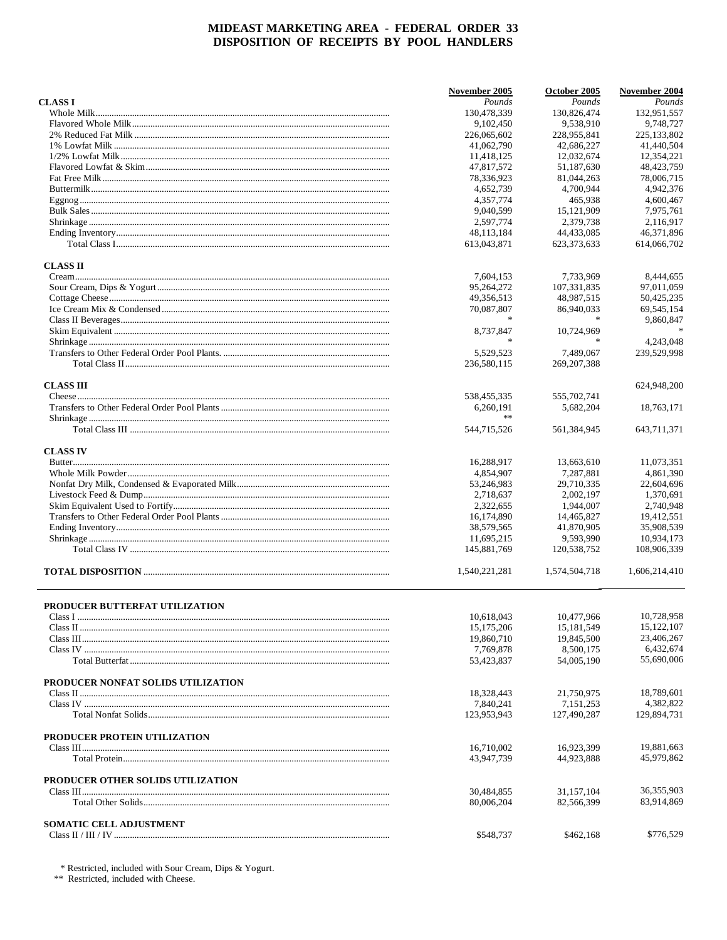|                                    | November 2005 | October 2005  | November 2004 |
|------------------------------------|---------------|---------------|---------------|
| <b>CLASS I</b>                     | Pounds        | Pounds        | Pounds        |
|                                    | 130,478,339   | 130,826,474   | 132,951,557   |
|                                    | 9,102,450     | 9,538,910     | 9,748,727     |
|                                    | 226,065,602   | 228,955,841   | 225, 133, 802 |
|                                    | 41,062,790    | 42,686,227    | 41,440,504    |
|                                    | 11,418,125    | 12,032,674    | 12,354,221    |
|                                    | 47,817,572    | 51,187,630    | 48, 423, 759  |
|                                    | 78,336,923    | 81,044,263    | 78,006,715    |
|                                    |               |               |               |
|                                    | 4,652,739     | 4,700,944     | 4,942,376     |
|                                    | 4.357.774     | 465,938       | 4,600,467     |
|                                    | 9,040,599     | 15, 121, 909  | 7,975,761     |
|                                    | 2,597,774     | 2.379.738     | 2,116,917     |
|                                    | 48, 113, 184  | 44,433,085    | 46,371,896    |
|                                    | 613,043,871   | 623, 373, 633 | 614,066,702   |
| <b>CLASS II</b>                    |               |               |               |
|                                    | 7,604,153     | 7,733,969     | 8,444,655     |
|                                    | 95,264,272    | 107,331,835   | 97,011,059    |
|                                    | 49,356,513    | 48,987,515    | 50,425,235    |
|                                    |               |               |               |
|                                    | 70,087,807    | 86,940,033    | 69,545,154    |
|                                    |               |               | 9,860,847     |
|                                    | 8,737,847     | 10,724,969    |               |
|                                    | $\ast$        | $\frac{1}{2}$ | 4,243,048     |
|                                    | 5.529.523     | 7,489,067     | 239,529,998   |
|                                    | 236,580,115   | 269, 207, 388 |               |
| <b>CLASS III</b>                   |               |               | 624,948,200   |
|                                    | 538,455,335   | 555,702,741   |               |
|                                    | 6,260,191     | 5,682,204     | 18,763,171    |
|                                    | **            |               |               |
|                                    | 544,715,526   | 561,384,945   | 643,711,371   |
| <b>CLASS IV</b>                    |               |               |               |
|                                    | 16,288,917    | 13,663,610    | 11,073,351    |
|                                    | 4,854,907     | 7,287,881     | 4,861,390     |
|                                    | 53,246,983    | 29,710,335    | 22,604,696    |
|                                    |               |               | 1,370,691     |
|                                    | 2,718,637     | 2,002,197     |               |
|                                    | 2,322,655     | 1,944,007     | 2,740,948     |
|                                    | 16,174,890    | 14,465,827    | 19,412,551    |
|                                    | 38,579,565    | 41,870,905    | 35,908,539    |
|                                    | 11,695,215    | 9,593,990     | 10,934,173    |
|                                    | 145,881,769   | 120,538,752   | 108,906,339   |
|                                    | 1,540,221,281 | 1,574,504,718 | 1,606,214,410 |
|                                    |               |               |               |
| PRODUCER BUTTERFAT UTILIZATION     | 10,618,043    | 10,477,966    | 10,728,958    |
|                                    |               |               | 15, 122, 107  |
|                                    | 15, 175, 206  | 15, 181, 549  |               |
|                                    | 19,860,710    | 19,845,500    | 23,406,267    |
|                                    | 7,769,878     | 8,500,175     | 6,432,674     |
|                                    | 53,423,837    | 54,005,190    | 55,690,006    |
| PRODUCER NONFAT SOLIDS UTILIZATION |               |               |               |
|                                    | 18,328,443    | 21,750,975    | 18,789,601    |
|                                    | 7,840,241     | 7,151,253     | 4,382,822     |
|                                    | 123,953,943   | 127,490,287   | 129,894,731   |
|                                    |               |               |               |
| PRODUCER PROTEIN UTILIZATION       |               |               |               |
|                                    | 16,710,002    | 16,923,399    | 19,881,663    |
|                                    | 43.947.739    | 44,923,888    | 45,979,862    |
| PRODUCER OTHER SOLIDS UTILIZATION  |               |               |               |
|                                    | 30,484,855    | 31, 157, 104  | 36,355,903    |
|                                    | 80,006,204    | 82,566,399    | 83,914,869    |
|                                    |               |               |               |
| <b>SOMATIC CELL ADJUSTMENT</b>     |               |               |               |
|                                    | \$548,737     | \$462,168     | \$776,529     |

 $^\ast$  Restricted, included with Sour Cream, Dips & Yogurt.  $^{\ast\ast}$  Restricted, included with Cheese.